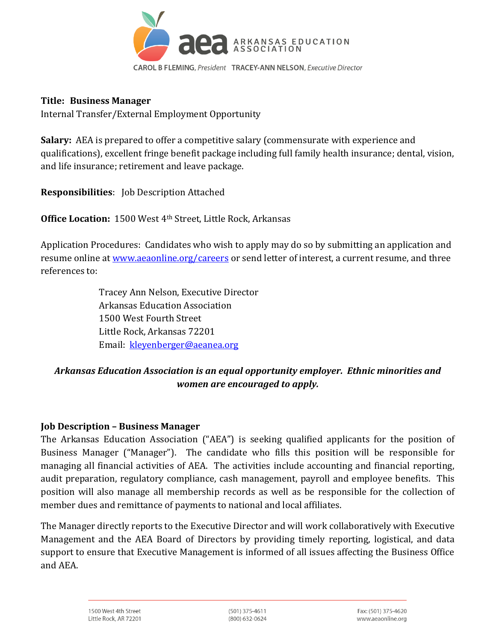

#### **Title: Business Manager**

Internal Transfer/External Employment Opportunity

**Salary:** AEA is prepared to offer a competitive salary (commensurate with experience and qualifications), excellent fringe benefit package including full family health insurance; dental, vision, and life insurance; retirement and leave package.

**Responsibilities**: Job Description Attached

**Office Location:** 1500 West 4th Street, Little Rock, Arkansas

Application Procedures: Candidates who wish to apply may do so by submitting an application and resume online at [www.aeaonline.org/careers](http://www.aeaonline.org/careers) or send letter of interest, a current resume, and three references to:

> Tracey Ann Nelson, Executive Director Arkansas Education Association 1500 West Fourth Street Little Rock, Arkansas 72201 Email: [kleyenberger@aeanea.org](mailto:kleyenberger@aeanea.org)

# *Arkansas Education Association is an equal opportunity employer. Ethnic minorities and women are encouraged to apply.*

#### **Job Description – Business Manager**

The Arkansas Education Association ("AEA") is seeking qualified applicants for the position of Business Manager ("Manager"). The candidate who fills this position will be responsible for managing all financial activities of AEA. The activities include accounting and financial reporting, audit preparation, regulatory compliance, cash management, payroll and employee benefits. This position will also manage all membership records as well as be responsible for the collection of member dues and remittance of payments to national and local affiliates.

The Manager directly reports to the Executive Director and will work collaboratively with Executive Management and the AEA Board of Directors by providing timely reporting, logistical, and data support to ensure that Executive Management is informed of all issues affecting the Business Office and AEA.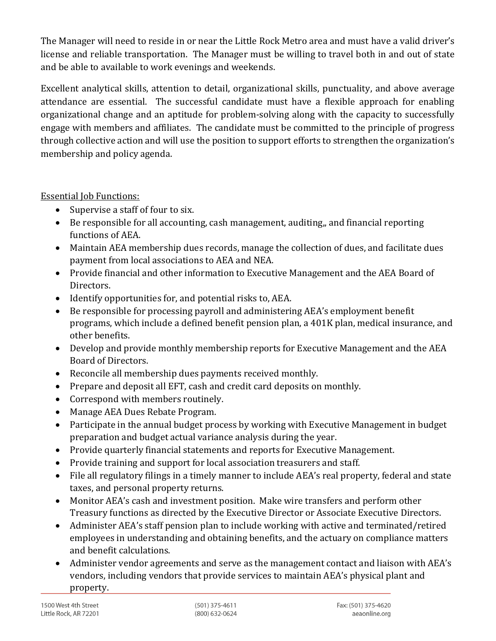The Manager will need to reside in or near the Little Rock Metro area and must have a valid driver's license and reliable transportation. The Manager must be willing to travel both in and out of state and be able to available to work evenings and weekends.

Excellent analytical skills, attention to detail, organizational skills, punctuality, and above average attendance are essential. The successful candidate must have a flexible approach for enabling organizational change and an aptitude for problem-solving along with the capacity to successfully engage with members and affiliates. The candidate must be committed to the principle of progress through collective action and will use the position to support efforts to strengthen the organization's membership and policy agenda.

Essential Job Functions:

- Supervise a staff of four to six.
- Be responsible for all accounting, cash management, auditing,, and financial reporting functions of AEA.
- Maintain AEA membership dues records, manage the collection of dues, and facilitate dues payment from local associations to AEA and NEA.
- Provide financial and other information to Executive Management and the AEA Board of Directors.
- Identify opportunities for, and potential risks to, AEA.
- Be responsible for processing payroll and administering AEA's employment benefit programs, which include a defined benefit pension plan, a 401K plan, medical insurance, and other benefits.
- Develop and provide monthly membership reports for Executive Management and the AEA Board of Directors.
- Reconcile all membership dues payments received monthly.
- Prepare and deposit all EFT, cash and credit card deposits on monthly.
- Correspond with members routinely.
- Manage AEA Dues Rebate Program.
- Participate in the annual budget process by working with Executive Management in budget preparation and budget actual variance analysis during the year.
- Provide quarterly financial statements and reports for Executive Management.
- Provide training and support for local association treasurers and staff.
- File all regulatory filings in a timely manner to include AEA's real property, federal and state taxes, and personal property returns.
- Monitor AEA's cash and investment position. Make wire transfers and perform other Treasury functions as directed by the Executive Director or Associate Executive Directors.
- Administer AEA's staff pension plan to include working with active and terminated/retired employees in understanding and obtaining benefits, and the actuary on compliance matters and benefit calculations.
- Administer vendor agreements and serve as the management contact and liaison with AEA's vendors, including vendors that provide services to maintain AEA's physical plant and property.